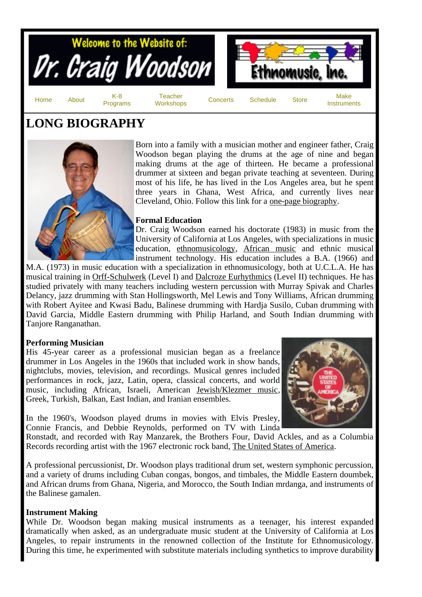

# **LONG BIOGRAPHY**



Born into a family with a musician mother and engineer father, Craig Woodson began playing the drums at the age of nine and began making drums at the age of thirteen. He became a professional drummer at sixteen and began private teaching at seventeen. During most of his life, he has lived in the Los Angeles area, but he spent three years in Ghana, West Africa, and currently lives near Cleveland, Ohio. Follow this link for a one-page biography.

## **Formal Education**

Dr. Craig Woodson earned his doctorate (1983) in music from the University of California at Los Angeles, with specializations in music education, ethnomusicology, African music and ethnic musical instrument technology. His education includes a B.A. (1966) and

M.A. (1973) in music education with a specialization in ethnomusicology, both at U.C.L.A. He has musical training in Orff-Schulwerk (Level I) and Dalcroze Eurhythmics (Level II) techniques. He has studied privately with many teachers including western percussion with Murray Spivak and Charles Delancy, jazz drumming with Stan Hollingsworth, Mel Lewis and Tony Williams, African drumming with Robert Ayitee and Kwasi Badu, Balinese drumming with Hardja Susilo, Cuban drumming with David Garcia, Middle Eastern drumming with Philip Harland, and South Indian drumming with Tanjore Ranganathan.

## **Performing Musician**

His 45-year career as a professional musician began as a freelance drummer in Los Angeles in the 1960s that included work in show bands, nightclubs, movies, television, and recordings. Musical genres included performances in rock, jazz, Latin, opera, classical concerts, and world music, including African, Israeli, American Jewish/Klezmer music, Greek, Turkish, Balkan, East Indian, and Iranian ensembles.



In the 1960's, Woodson played drums in movies with Elvis Presley, Connie Francis, and Debbie Reynolds, performed on TV with Linda

Ronstadt, and recorded with Ray Manzarek, the Brothers Four, David Ackles, and as a Columbia Records recording artist with the 1967 electronic rock band, The United States of America.

A professional percussionist, Dr. Woodson plays traditional drum set, western symphonic percussion, and a variety of drums including Cuban congas, bongos, and timbales, the Middle Eastern doumbek, and African drums from Ghana, Nigeria, and Morocco, the South Indian mrdanga, and instruments of the Balinese gamalen.

## **Instrument Making**

While Dr. Woodson began making musical instruments as a teenager, his interest expanded dramatically when asked, as an undergraduate music student at the University of California at Los Angeles, to repair instruments in the renowned collection of the Institute for Ethnomusicology. During this time, he experimented with substitute materials including synthetics to improve durability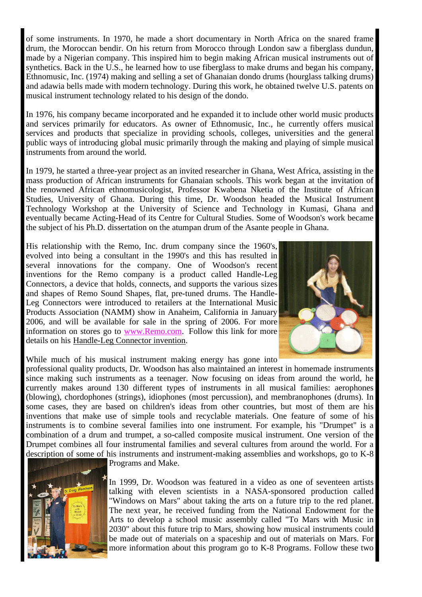of some instruments. In 1970, he made a short documentary in North Africa on the snared frame drum, the Moroccan bendir. On his return from Morocco through London saw a fiberglass dundun, made by a Nigerian company. This inspired him to begin making African musical instruments out of synthetics. Back in the U.S., he learned how to use fiberglass to make drums and began his company, Ethnomusic, Inc. (1974) making and selling a set of Ghanaian dondo drums (hourglass talking drums) and adawia bells made with modern technology. During this work, he obtained twelve U.S. patents on musical instrument technology related to his design of the dondo.

In 1976, his company became incorporated and he expanded it to include other world music products and services primarily for educators. As owner of Ethnomusic, Inc., he currently offers musical services and products that specialize in providing schools, colleges, universities and the general public ways of introducing global music primarily through the making and playing of simple musical instruments from around the world.

In 1979, he started a three-year project as an invited researcher in Ghana, West Africa, assisting in the mass production of African instruments for Ghanaian schools. This work began at the invitation of the renowned African ethnomusicologist, Professor Kwabena Nketia of the Institute of African Studies, University of Ghana. During this time, Dr. Woodson headed the Musical Instrument Technology Workshop at the University of Science and Technology in Kumasi, Ghana and eventually became Acting-Head of its Centre for Cultural Studies. Some of Woodson's work became the subject of his Ph.D. dissertation on the atumpan drum of the Asante people in Ghana.

His relationship with the Remo, Inc. drum company since the 1960's, evolved into being a consultant in the 1990's and this has resulted in several innovations for the company. One of Woodson's recent inventions for the Remo company is a product called Handle-Leg Connectors, a device that holds, connects, and supports the various sizes and shapes of Remo Sound Shapes, flat, pre-tuned drums. The Handle-Leg Connectors were introduced to retailers at the International Music Products Association (NAMM) show in Anaheim, California in January 2006, and will be available for sale in the spring of 2006. For more information on stores go to www.Remo.com. Follow this link for more details on his Handle-Leg Connector invention.



While much of his musical instrument making energy has gone into

professional quality products, Dr. Woodson has also maintained an interest in homemade instruments since making such instruments as a teenager. Now focusing on ideas from around the world, he currently makes around 130 different types of instruments in all musical families: aerophones (blowing), chordophones (strings), idiophones (most percussion), and membranophones (drums). In some cases, they are based on children's ideas from other countries, but most of them are his inventions that make use of simple tools and recyclable materials. One feature of some of his instruments is to combine several families into one instrument. For example, his "Drumpet" is a combination of a drum and trumpet, a so-called composite musical instrument. One version of the Drumpet combines all four instrumental families and several cultures from around the world. For a description of some of his instruments and instrument-making assemblies and workshops, go to K-8



Programs and Make.

In 1999, Dr. Woodson was featured in a video as one of seventeen artists talking with eleven scientists in a NASA-sponsored production called "Windows on Mars" about taking the arts on a future trip to the red planet. The next year, he received funding from the National Endowment for the Arts to develop a school music assembly called "To Mars with Music in 2030" about this future trip to Mars, showing how musical instruments could be made out of materials on a spaceship and out of materials on Mars. For more information about this program go to K-8 Programs. Follow these two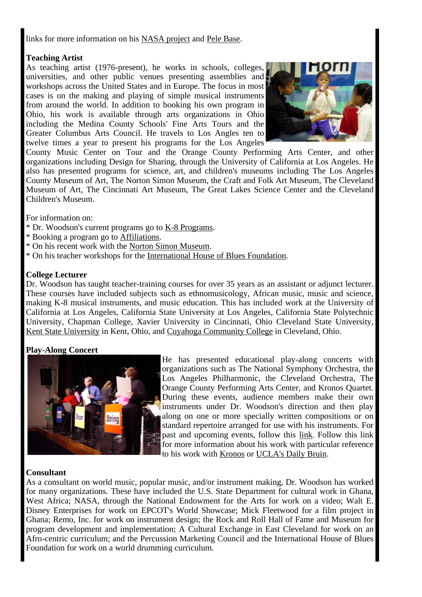links for more information on his NASA project and Pele Base.

# **Teaching Artist**

As teaching artist (1976-present), he works in schools, colleges, universities, and other public venues presenting assemblies and workshops across the United States and in Europe. The focus in most cases is on the making and playing of simple musical instruments from around the world. In addition to booking his own program in Ohio, his work is available through arts organizations in Ohio including the Medina County Schools' Fine Arts Tours and the Greater Columbus Arts Council. He travels to Los Angles ten to twelve times a year to present his programs for the Los Angeles



County Music Center on Tour and the Orange County Performing Arts Center, and other organizations including Design for Sharing, through the University of California at Los Angeles. He also has presented programs for science, art, and children's museums including The Los Angeles County Museum of Art, The Norton Simon Museum, the Craft and Folk Art Museum, The Cleveland Museum of Art, The Cincinnati Art Museum, The Great Lakes Science Center and the Cleveland Children's Museum.

For information on:

- \* Dr. Woodson's current programs go to K-8 Programs.
- \* Booking a program go to Affiliations.
- \* On his recent work with the Norton Simon Museum.
- \* On his teacher workshops for the International House of Blues Foundation.

# **College Lecturer**

Dr. Woodson has taught teacher-training courses for over 35 years as an assistant or adjunct lecturer. These courses have included subjects such as ethnomusicology, African music, music and science, making K-8 musical instruments, and music education. This has included work at the University of California at Los Angeles, California State University at Los Angeles, California State Polytechnic University, Chapman College, Xavier University in Cincinnati, Ohio Cleveland State University, Kent State University in Kent, Ohio, and Cuyahoga Community College in Cleveland, Ohio.

## **Play-Along Concert**



He has presented educational play-along concerts with organizations such as The National Symphony Orchestra, the Los Angeles Philharmonic, the Cleveland Orchestra, The Orange County Performing Arts Center, and Kronos Quartet. During these events, audience members make their own instruments under Dr. Woodson's direction and then play along on one or more specially written compositions or on standard repertoire arranged for use with his instruments. For past and upcoming events, follow this link. Follow this link for more information about his work with particular reference to his work with Kronos or UCLA's Daily Bruin.

## **Consultant**

As a consultant on world music, popular music, and/or instrument making, Dr. Woodson has worked for many organizations. These have included the U.S. State Department for cultural work in Ghana, West Africa; NASA, through the National Endowment for the Arts for work on a video; Walt E. Disney Enterprises for work on EPCOT's World Showcase; Mick Fleetwood for a film project in Ghana; Remo, Inc. for work on instrument design; the Rock and Roll Hall of Fame and Museum for program development and implementation; A Cultural Exchange in East Cleveland for work on an Afro-centric curriculum; and the Percussion Marketing Council and the International House of Blues Foundation for work on a world drumming curriculum.